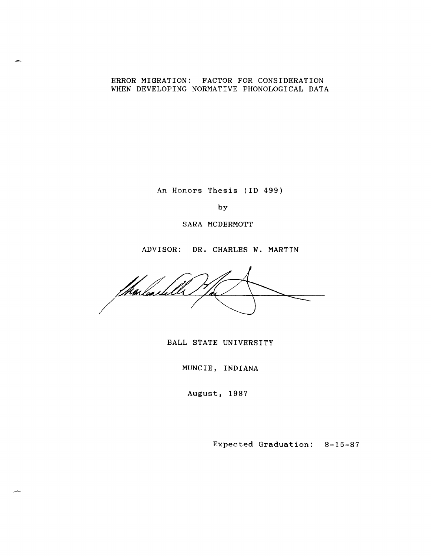# ERROR MIGRATION: FACTOR FOR CONSIDERATION WHEN DEVELOPING NORMATIVE PHONOLOGICAL DATA

An Honors Thesis (ID 499)

by

SARA MCDERMOTT

ADVISOR: DR. CHARLES W. MARTIN

Thalashle /

BALL STATE UNIVERSITY

MUNCIE, INDIANA

August, 1987

Expected Graduation: 8-15-87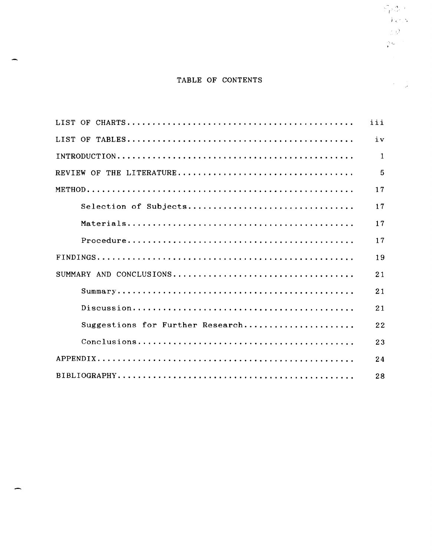# TABLE OF CONTENTS

 $\stackrel{\frown}{\mathbb{F}}\stackrel{\delta}{\mathbb{G}}\stackrel{\delta}{\mathbb{G}}$  :  $\langle \hat{P}g \hat{\tau}, S \rangle$  $\langle \rangle \mathcal{Q}^{(1)}$  $\frac{1}{2} \mathcal{Q}^{(1)}$  .

|                                  | iii          |
|----------------------------------|--------------|
|                                  | iv           |
|                                  | $\mathbf{1}$ |
|                                  | 5            |
|                                  | 17           |
| Selection of Subjects            | 17           |
|                                  | 17           |
|                                  | 17           |
|                                  | 19           |
|                                  | 21           |
|                                  | 21           |
|                                  | 21           |
| Suggestions for Further Research | 22           |
|                                  | 23           |
|                                  | 24           |
|                                  | 28           |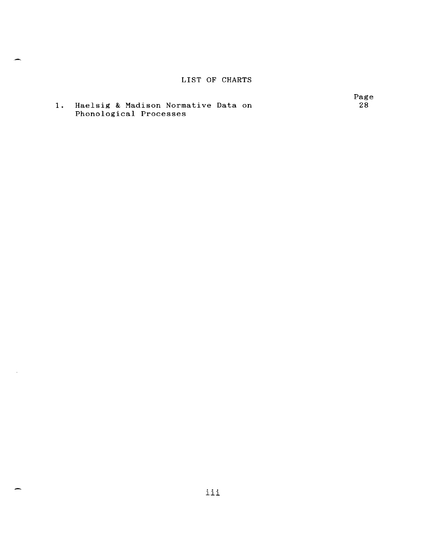# LIST OF CHARTS

**1.** Haelsig & Madison Normative Data on Phonological Processes

 $\mathcal{L}$ 

Page 28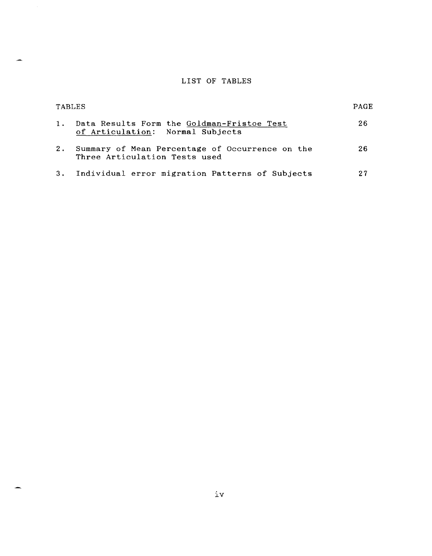# LIST OF TABLES

|    | TABLES                                                                           | PAGE |
|----|----------------------------------------------------------------------------------|------|
| 1. | Data Results Form the Goldman-Fristoe Test<br>of Articulation: Normal Subjects   | 26   |
| 2. | Summary of Mean Percentage of Occurrence on the<br>Three Articulation Tests used | 26   |
|    | 3. Individual error migration Patterns of Subjects                               | 27   |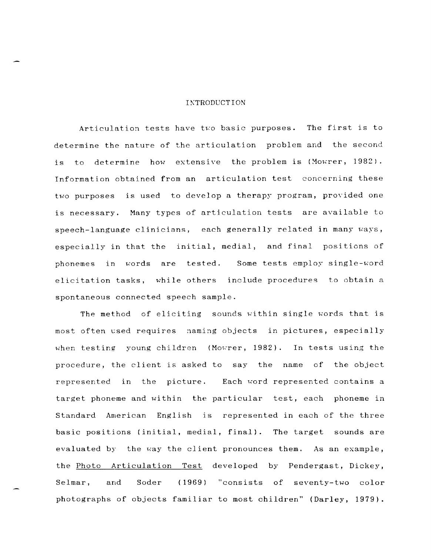## **INTRODUCTION**

Articulation tests have two basic purposes. The first is to determine the nature of the articulation problem and the second is to determine how extensive the problem is (Mowrer, 1982). Information obtained from an articulation test concerning these two purposes is used to develop a therapy program, provided one is necessary. Many types of articulation tests are available to speech-language clinicians, each generally related in many ways, especially in that the initial, medial, and final positions of phonemes in words are tested. Some tests employ single-word elicitation tasks, while others include procedures to obtain a spontaneous connected speech sample.

The method of eliciting sounds within single words that is most often used requires naming objects in pictures, especially when testing young children (Mowrer, 1982). In tests using the procedure, the client is asked to say the name of the object represented in the picture. Each word represented contains a target phoneme and within the particular test, each phoneme in Standard American English is represented in each of the three basic positions (initial, medial, final). The target sounds are evaluated by the way the client pronounces them. As an example, the Photo Articulation Test developed by Pendergast, Dickey, Selmar, and Soder (1969) "consists of seventy-two color photographs of objects familiar to most children" (Darley, 1979).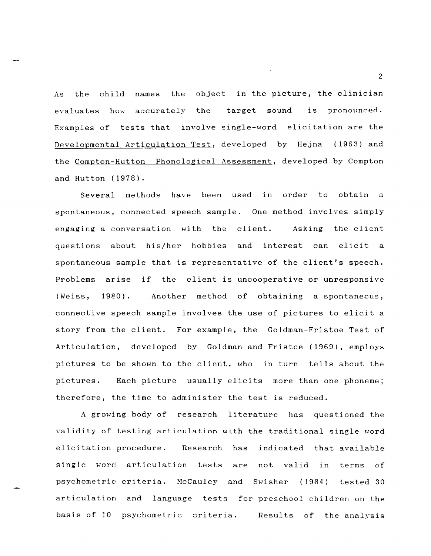As the child names the object in the picture, the clinician evaluates how accurately the target sound is pronounced. Examples of tests that involve single-word elicitation are the Developmental Articulation Test, developed by Hejna (1963) and the Compton-Hutton Phonological Assessment, developed by Compton and Hutton (1978).

Several methods have been used in order to obtain a spontaneous, connected speech sample. One method involves simply engaging a conversation with the client. Asking the client questions about his/her hobbies and interest can elicit a spontaneous sample that is representative of the client's speech. Problems arise if the client is uncooperative or unresponsive (Weiss, 1980). Another method of obtaining a spontaneous, connective speech sample involves the use of pictures to elicit a story from the client. For example, the Goldman-Fristoe Test of Articulation, developed by Goldman and Fristoe (1969), employs pictures to be shown to the client, who in turn tells about the pictures. Each picture usually elicits more than one phoneme; therefore, the time to administer the test is reduced.

A growing body of research literature has questioned the validity of testing articulation with the traditional single word elicitation procedure. Research has indicated that available single word articulation tests are not valid in terms of psychometric criteria. McCauley and Swisher (1984) tested 30 articulation and language tests for preschool children on the basis of 10 psychometric criteria. Results of the analysis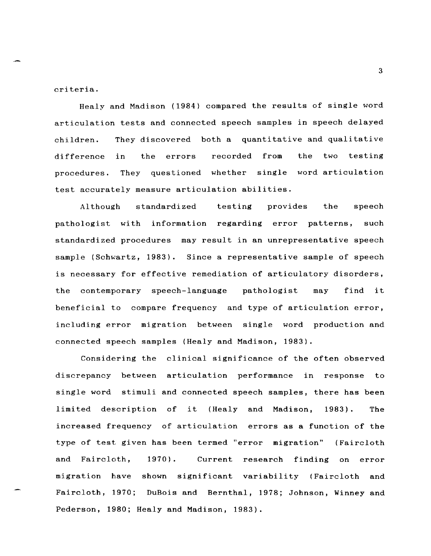criteria.

Healy and Madison (1984) compared the results of single word articulation tests and connected speech samples in speech delayed children. difference procedures. They discovered both a quantitative and qualitative the errors recorded from the two testing They questioned whether single word articulation test accurately measure articulation abilities.

Although standardized testing provides the speech pathologist with information regarding error patterns, such standardized procedures may result in an unrepresentative speech sample (Schwartz, 1983). Since a representative sample of speech is necessary for effective remediation of articulatory disorders, the contemporary speech-language pathologist may find it beneficial to compare frequency and type of articulation error, including error migration between single word production and connected speech samples (Healy and Madison, 1983).

Considering the clinical significance of the often observed discrepancy between articulation performance in response to single word stimuli and connected speech samples, there has been limited description of it (Healy and Madison, 1983). The increased frequency of articulation errors as a function of the type of test given has been termed "error migration" (Faircloth and Faircloth, 1970). Current research finding on error migration have shown significant variability (Faircloth and Faircloth, 1970; DuBois and Bernthal, 1978; Johnson, Winney and Pederson, 1980; Healy and Madison, 1983).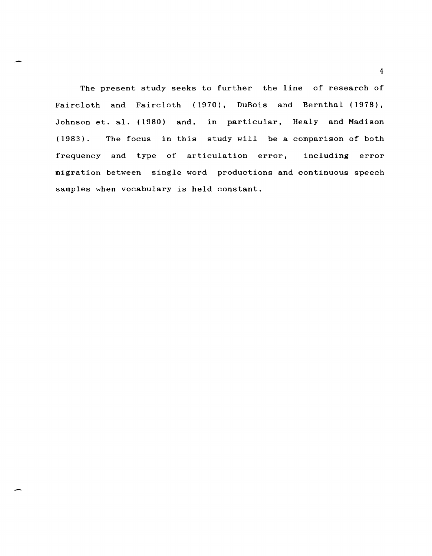The present study seeks to further the line of research of Faircloth and Faircloth (1970), DuBois and Bernthal (1978), Johnson et. al. (1980) and, in particular, Healy and Madison (1983). The focus in this study will be a comparison of both frequency and type of articulation error, including error migration between single word productions and continuous speech samples when vocabulary is held constant.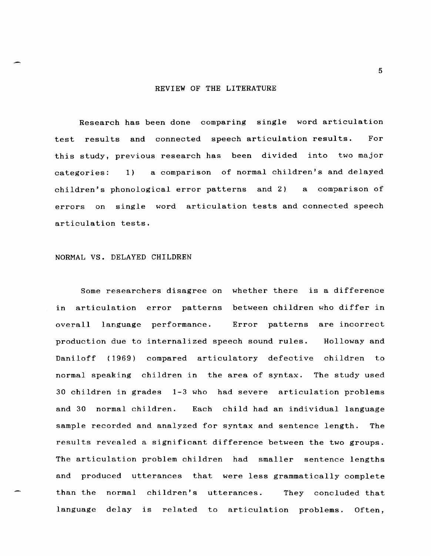#### REVIEW OF THE LITERATURE

Research has been done comparing single word articulation test results and connected speech articulation results. For this study, previous research has been divided into two major categories: 1) a comparison of normal children's and delayed children's phonological error patterns and 2) a comparison of errors on single word articulation tests and connected speech articulation tests.

# NORMAL VS. DELAYED CHILDREN

Some researchers disagree on whether there is a difference in articulation error patterns between children who differ in overall language performance. Error patterns are incorrect production due to internalized speech sound rules. Holloway and Daniloff (1969) compared articulatory defective children to normal speaking children in the area of syntax. The study used 30 children in grades 1-3 who had severe articulation problems and 30 normal children. Each child had an individual language sample recorded and analyzed for syntax and sentence length. The results revealed a significant difference between the two groups. The articulation problem children had smaller sentence lengths and produced utterances that were less grammatically complete than the normal children's utterances. They concluded that language delay is related to articulation problems. Often,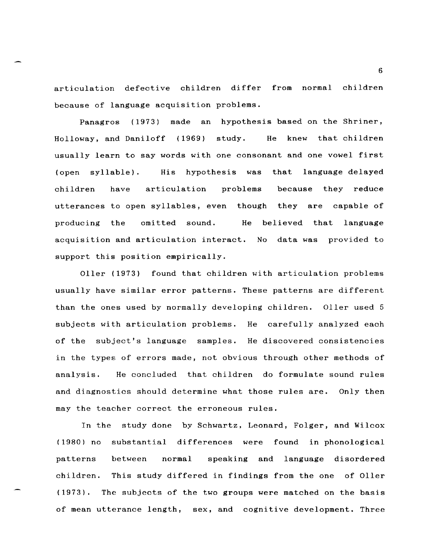articulation defective children differ from normal children because of language acquisition problems.

Panagros (1973) made an hypothesis based on the Shriner, Holloway, and Daniloff (1969) study. He knew that children usually learn to say words with one consonant and one vowel first (open syllable). His hypothesis was that language delayed children have articulation problems because they reduce utterances to open syllables, even though they are capable of producing the omitted sound. He believed that language acquisition and articulation interact. support this position empirically. No data was provided to

Oller (1973) found that children with articulation problems usually have similar error patterns. These patterns are different than the ones used by normally developing children. Oller used 5 subjects with articulation problems. He carefully analyzed each of the subject's language samples. He discovered consistencies in the types of errors made, not obvious through other methods of analysis. He concluded that children do formulate sound rules and diagnostics should determine what those rules are. Only then may the teacher correct the erroneous rules.

In the study done by Schwartz, Leonard, Folger, and Wilcox (1980) no substantial differences were found in phonological patterns children. This study differed in findings from the one of Oller (1973). between normal speaking and language disordered The subjects of the two groups were matched on the basis of mean utterance length, sex, and cognitive development. Three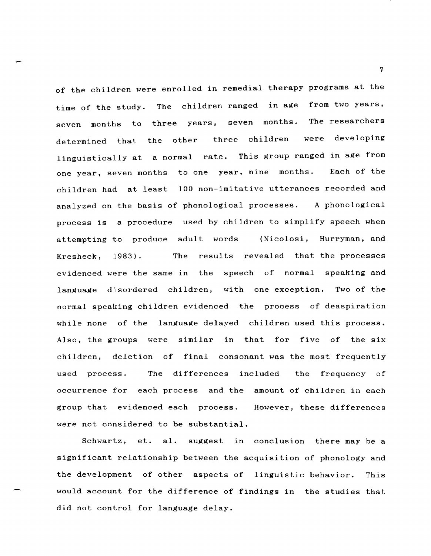of the children were enrolled in remedial therapy programs at the time of the study. The children ranged in age from two years, seven months to three years, seven months. The researchers determined that the other three children were developing linguistically at a normal rate. This group ranged in age from one year, seven months to one year, nine months. Each of the children had at least 100 non-imitative utterances recorded and analyzed on the basis of phonological processes. A phonological process is a procedure used by children to simplify speech when attempting to produce adult words (Nicolosi, Hurryman, and Kresheck, 1983). The results revealed that the processes evidenced were the same in the speech of normal speaking and language disordered children, with one exception. Two of the normal speaking children evidenced the process of deaspiration while none of the language delayed children used this process. Also, the groups were similar in that for five of the six children, deletion of final consonant was the most frequently used process. The differences included the frequency of occurrence for each process and the amount of children in each group that evidenced each process. were not considered to be substantial. However, these differences

Schwartz, et. al. suggest in conclusion there may be a significant relationship between the acquisition of phonology and the development of other aspects of linguistic behavior. This would account for the difference of findings in the studies that did not control for language delay.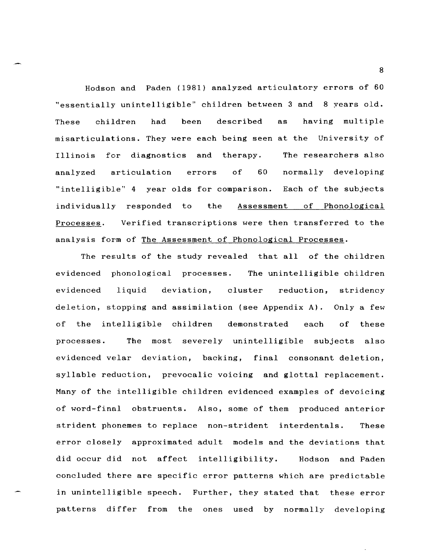Hodson and Paden (1981) analyzed articulatory errors of 60 "essentially unintelligible" children between 3 and 8 years old. These children had been described as having multiple misarticulations. They were each being seen at the University of Illinois for diagnostics and therapy. analyzed articulation errors of 60 The researchers also normally developing "intelligible" 4 year olds for comparison. Each of the subjects individually responded to the Assessment of Phonological Processes. Verified transcriptions were then transferred to the analysis form of The Assessment of Phonological Processes.

The results of the study revealed that all of the children evidenced phonological processes. The unintelligible children evidenced liquid deviation, cluster reduction, stridency deletion, stopping and assimilation (see Appendix A). Only a few of the intelligible children demonstrated each of these processes. The most severely unintelligible subjects also evidenced velar deviation, backing, final consonant deletion, syllable reduction, prevocalic voicing and glottal replacement. Many of the intelligible children evidenced examples of devoicing of word-final obstruents. Also, some of them produced anterior strident phonemes to replace non-strident interdentals. These error closely approximated adult models and the deviations that did occur did not affect intelligibility. Hodson and Paden concluded there are specific error patterns which are predictable in unintelligible speech. Further, they stated that these error patterns differ from the ones used by normally developing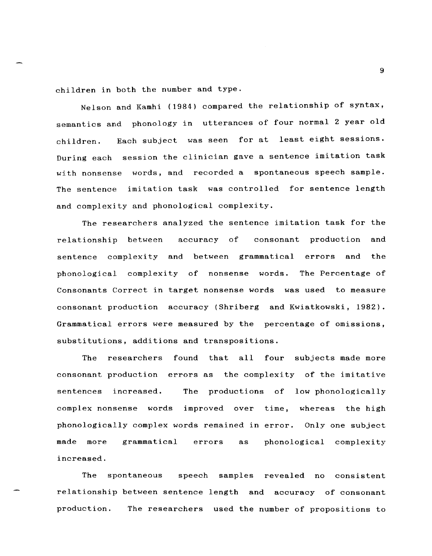children in both the number and type.

Nelson and Kamhi (1984) compared the relationship of syntax, semantics and phonology in utterances of four normal 2 year old children. Each subject was seen for at least eight sessions. During each session the clinician gave a sentence imitation task with nonsense words, and recorded a spontaneous speech sample. The sentence imitation task was controlled for sentence length and complexity and phonological complexity.

The researchers analyzed the sentence imitation task for the relationship between accuracy of consonant production and sentence complexity and between grammatical errors and the phonological complexity of nonsense words. The Percentage of Consonants Correct in target nonsense words was used to measure consonant production accuracy (Shriberg and Kwiatkowski, 1982). Grammatical errors were measured by the percentage of omissions, substitutions, additions and transpositions.

The researchers found that all four subjects made more consonant production errors as the complexity of the imitative sentences increased. The productions of low phonologically complex nonsense words phonologically complex words remained in error. Only one subject improved over time, whereas the high made more increased. grammatical errors as phonological complexity

The spontaneous speech samples revealed no consistent relationship between sentence length and accuracy of consonant production. The researchers used the number of propositions to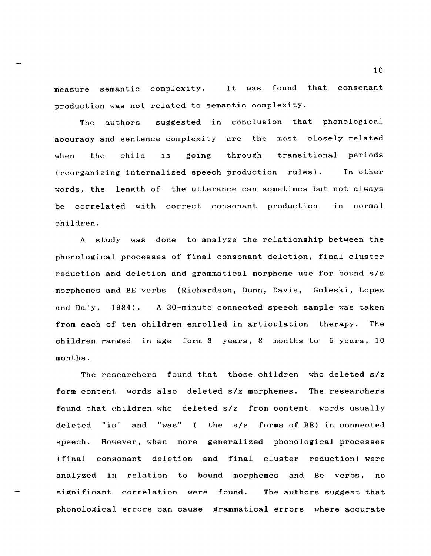measure semantic complexity. It was found that consonant production was not related to semantic complexity.

The authors suggested in conclusion that phonological accuracy and sentence complexity are the most closely related when the child is going through transitional periods (reorganizing internalized speech production rules). In other words, the length of the utterance can sometimes but not always be correlated with correct consonant production children. in normal

A study was done to analyze the relationship between the phonological processes of final consonant deletion, final cluster reduction and deletion and grammatical morpheme use for bound *slz*  morphemes and BE verbs (Richardson, Dunn, Davis, Goleski, Lopez and Daly, 1984). A 30-minute connected speech sample was taken from each of ten children enrolled in articulation therapy. The children ranged in age form 3 years, 8 months to 5 years, 10 months.

The researchers found that those children who deleted *slz*  form content words also deleted *slz* morphemes. The researchers found that children who deleted *slz* from content words usually deleted "is" and "was" the *slz* forms of BE) in connected speech. However, when more generalized phonological processes (final consonant deletion and final cluster reduction) were analyzed in relation to bound morphemes and Be verbs, no significant correlation were found. The authors suggest that phonological errors can cause grammatical errors where accurate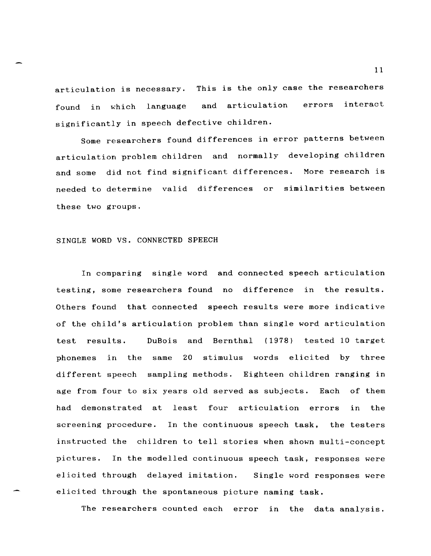articulation is necessary. This is the only case the researchers found in which language and articulation errors interact significantly in speech defective children.

Some researchers found differences in error patterns between articulation problem children and normally developing children and some did not find significant differences. More research is needed to determine valid differences or similarities between these two groups.

# SINGLE WORD VS. CONNECTED SPEECH

In comparing single word and connected speech articulation testing, some researchers found no difference in the results. Others found that connected speech results were more indicative of the child's articulation problem than single word articulation test results. DuBois and Bernthal (1978) tested 10 target phonemes in the same 20 stimulus words elicited by three different speech sampling methods. Eighteen children ranging in age from four to six years old served as subjects. Each of them had demonstrated at least four articulation errors in the screening procedure. In the continuous speech task, the testers instructed the children to tell stories when shown multi-concept pictures. In the modelled continuous speech task, responses were elicited through delayed imitation. Single word responses were elicited through the spontaneous picture naming task.

The researchers counted each error in the data analysis.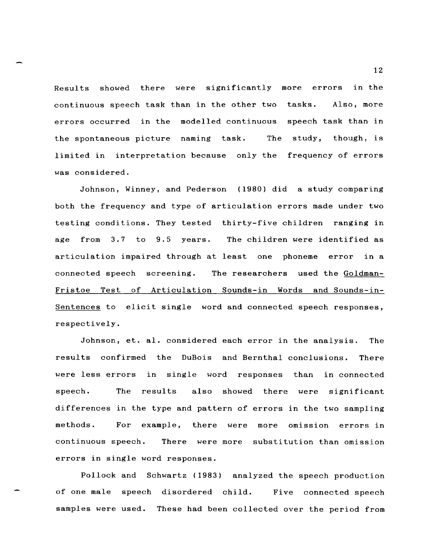Results showed there were significantly more errors in the continuous speech task than in the other two tasks. Also, more errors occurred in the modelled continuous speech task than in the spontaneous picture naming task. The study, though, is limited in interpretation because only the frequency of errors was considered.

Johnson, Winney, and Pederson (1980) did a study comparing both the frequency and type of articulation errors made under two testing conditions. They tested thirty-five children ranging in age from 3.7 to 9.5 years. The children were identified as articulation impaired through at least one phoneme error in a connected speech screening. The researchers used the Goldman-Fristoe Test of Articulation Sounds-in Words and Sounds-in-Sentences to elicit single word and connected speech responses, respectively.

Johnson, et. al. considered each error in the analysis. The results confirmed the DuBois and Bernthal conclusions. There were less errors in single word responses than in connected speech. The results also showed there were significant differences in the type and pattern of errors in the two sampling methods. For example, there were more omission errors in continuous speech. There were more substitution than omission errors in single word responses.

Pollock and Schwartz (1983) analyzed the speech production of one male speech disordered child. Five connected speech samples were used. These had been collected over the period from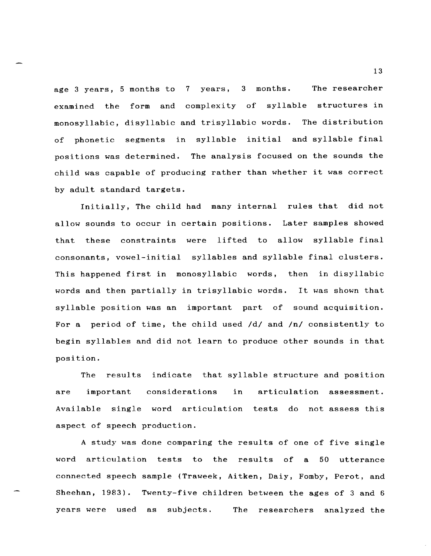age 3 years, 5 months to 7 years, 3 months. The researcher examined the form and complexity of syllable structures in monosyllabic, disyllabic and trisyllabic words. The distribution of phonetic segments in syllable initial and syllable final positions was determined. The analysis focused on the sounds the child was capable of producing rather than whether it was correct by adult standard targets.

Initially, The child had many internal rules that did not allow sounds to occur in certain positions. Later samples showed that these constraints were lifted to allow syllable final consonants, vowel-initial syllables and syllable final clusters. This happened first in monosyllabic words, then in disyllabic words and then partially in trisyllabic words. It was shown that syllable position was an important part of sound acquisition. For a period of time, the child used *Idl* and *Inl* consistently to begin syllables and did not learn to produce other sounds in that position.

The results indicate that syllable structure and position are important Available single word articulation tests do not assess this considerations in aspect of speech production. articulation assessment.

A study was done comparing the results of one of five single word articulation tests to the results of a 50 utterance connected speech sample (Traweek, Aitken, Daiy, Fomby, Perot, and Sheehan, 1983). Twenty-five children between the ages of 3 and 6 years were used as subjects. The researchers analyzed the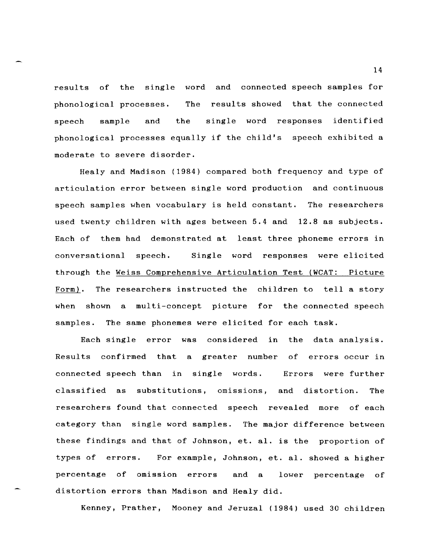results of the single word and connected speech samples for phonological processes. The results showed that the connected speech sample and the single word responses identified phonological processes equally if the child's speech exhibited a moderate to severe disorder.

Healy and Madison (1984) compared both frequency and type of articulation error between single word production and continuous speech samples when vocabulary is held constant. The researchers used twenty children with ages between 5.4 and 12.8 as subjects. Each of them had demonstrated at least three phoneme errors in conversational speech. Single word responses were elicited through the Weiss Comprehensive Articulation Test (WCAT: Picture Form). The researchers instructed the children to tell a story when shown a multi-concept picture for the connected speech samples. The same phonemes were elicited for each task.

Each single error was considered in the data analysis. Results confirmed that a greater number of errors occur in connected speech than in single words. Errors were further classified as substitutions, omissions, and distortion. The researchers found that connected speech revealed more of each category than single word samples. The major difference between these findings and that of Johnson, et. al. is the proportion of types of errors. For example, Johnson, et. al. showed a higher percentage of omission errors and a lower percentage of distortion errors than Madison and Healy did.

Kenney, Prather, Mooney and Jeruzal (1984) used 30 children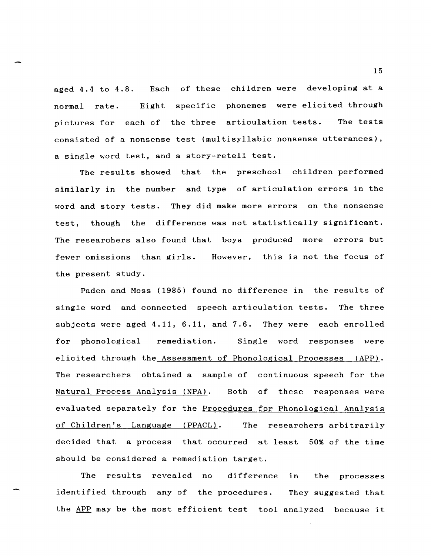aged 4.4 to 4.8. Each of these children were developing at a normal rate. Eight specific phonemes were elicited through pictures for each of the three articulation tests. The tests consisted of a nonsense test (multisyllabic nonsense utterances), a single word test, and a story-retell test.

The results showed that the preschool children performed similarly in the number and type of articulation errors in the word and story tests. They did make more errors on the nonsense test, though the difference was not statistically significant. The researchers also found that boys produced more errors but fewer omissions than girls. However, this is not the focus of the present study.

Paden and Moss (1985) found no difference in the results of single word and connected speech articulation tests. The three subjects were aged 4.11, 6.11, and 7.6. They were each enrolled for phonological remediation. Single word responses were elicited through the Assessment of Phonological Processes (APP). The researchers obtained a sample of continuous speech for the Natural Process Analysis (NPA). Both of these responses were evaluated separately for the Procedures for Phonological Analysis of Children's Language (PPACL). The researchers arbitrarily decided that a process that occurred at least 50% of the time should be considered a remediation target.

The results revealed no difference in the processes identified through any of the procedures. They suggested that the APP may be the most efficient test tool analyzed because it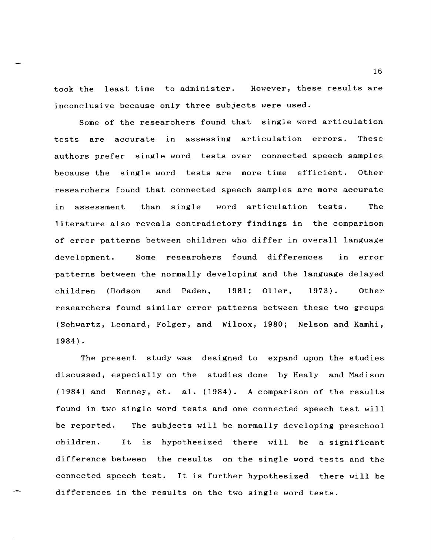took the least time to administer. However, these results are inconclusive because only three subjects were used.

Some of the researchers found that single word articulation tests are accurate in assessing articulation errors. These authors prefer single word tests over connected speech samples because the single word tests are more time efficient. Other researchers found that connected speech samples are more accurate in assessment than single word articulation tests. The literature also reveals contradictory findings in the comparison of error patterns between children who differ in overall language development. Some researchers found differences in error patterns between the normally developing and the language delayed children (Hodson and Paden, 1981; Oller, 1973). Other researchers found similar error patterns between these two groups (Schwartz, Leonard, Folger, and Wilcox, 1980; Nelson and Kamhi, 1984) .

The present study was designed to expand upon the studies discussed, especially on the studies done by Healy and Madison (1984) and Kenney, et. a!. (1984). A comparison of the results found in two single word tests and one connected speech test will be reported. children. The subjects will be normally developing preschool It is hypothesized there will be a significant difference between the results on the single word tests and the connected speech test. It is further hypothesized there will be differences in the results on the two single word tests.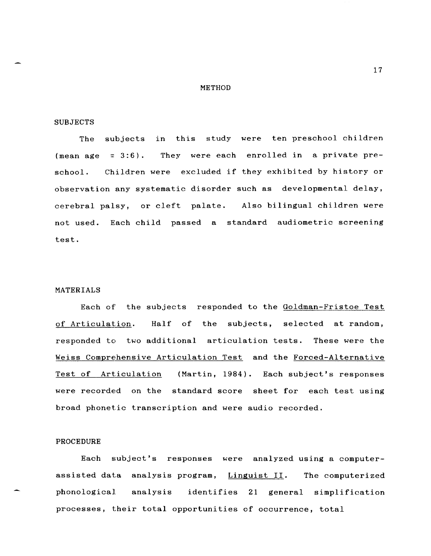#### METHOD

#### SUBJECTS

The subjects in this study were ten preschool children (mean age  $= 3:6$ ). They were each enrolled in a private preschool. Children were excluded if they exhibited by history or observation any systematic disorder such as developmental delay, cerebral palsy, or cleft palate. Also bilingual children were not used. Each child passed a standard audiometric screening test.

## MATERIALS

Each of the subjects responded to the Goldman-Fristoe Test of Articulation. Half of the subjects, selected at random, responded to two additional articulation tests. These were the Weiss Comprehensive Articulation Test and the Forced-Alternative Test of Articulation (Martin, 1984). Each subject's responses were recorded on the standard score sheet for each test using broad phonetic transcription and were audio recorded.

# PROCEDURE

Each subject's responses were analyzed using a computerassisted data analysis program, Linguist II. The computerized phonological analysis identifies 21 general simplification processes, their total opportunities of occurrence, total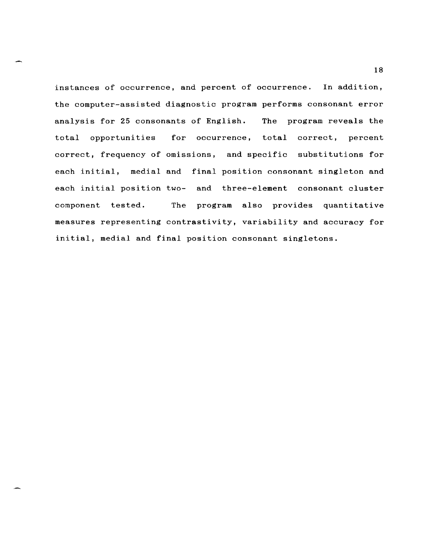instances of occurrence, and percent of occurrence. In addition, the computer-assisted diagnostic program performs consonant error analysis for 25 consonants of English. total opportunities The program reveals the for occurrence, total correct, percent correct, frequency of omissions, and specific substitutions for each initial, medial and final position consonant singleton and each initial position two- and three-element consonant cluster component tested. The program also provides quantitative measures representing contrastivity, variability and accuracy for initial, medial and final position consonant singletons.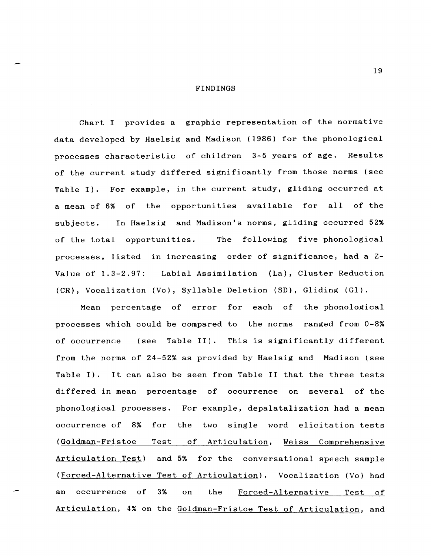#### FINDINGS

Chart I provides a graphic representation of the normative data developed by Haelsig and Madison (1986) for the phonological processes characteristic of children 3-5 years of age. Results of the current study differed significantly from those norms (see Table I). For example, in the current study, gliding occurred at a mean of 6% of the opportunities available for all of the subjects. In Haelsig and Madison's norms, gliding occurred 52% of the total opportunities. The following five phonological processes, listed in increasing order of significance, had a Z-Value of 1.3-2.97: Labial Assimilation (La), Cluster Reduction (CR), Vocalization (Vo), Syllable Deletion (SD), Gliding (GI).

Mean percentage of error for each of the phonological processes which could be compared to the norms ranged from 0-8% of occurrence (see Table II). This is significantly different from the norms of 24-52% as provided by Haelsig and Madison (see Table I). It can also be seen from Table II that the three tests differed in mean percentage of occurrence on several of the phonological processes. For example, depalatalization had a mean occurrence of 8% for the two single word elicitation tests (Goldman-Fristoe Test of Articulation, Weiss Comprehensive Articulation Test) and 5% for the conversational speech sample (Forced-Alternative Test of Articulation). Vocalization (Vo) had an occurrence of 3% on the Forced-Alternative Test of Articulation, 4% on the Goldman-Fristoe Test of Articulation, and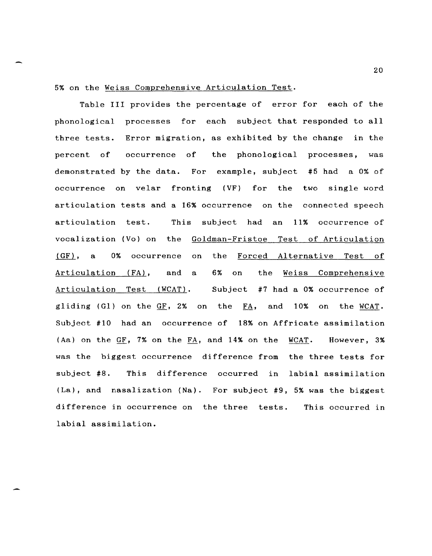## 5% on the Weiss Comprehensive Articulation Test.

Table III provides the percentage of error for each of the phonological processes for each subject that responded to all three tests. Error migration, as exhibited by the change in the percent of occurrence of demonstrated by the data. For example, subject #5 had a 0% of the phonological processes, was occurrence on velar fronting (VF) for the two single word articulation tests and a 16% occurrence on the connected speech articulation test. This subject had an 11% occurrence of vocalization (Vo) on the Goldman-Fristoe Test of Articulation  $(GF)$ , a 0% occurrence on the Forced Alternative Test of Articulation (FA), and a 6% on the Weiss Comprehensive Articulation Test (WCAT). Subject #7 had a 0% occurrence of gliding (Gl) on the  $GF$ , 2% on the  $FA$ , and 10% on the WCAT. Subject #10 had an occurrence of 18% on Affricate assimilation (Aa) on the  $GF$ , 7% on the  $FA$ , and 14% on the WCAT. However, 3% was the biggest occurrence difference from the three tests for subject #8. This difference occurred in labial assimilation (La), and nasalization (Na). For subject #9, 5% was the biggest difference in occurrence on the three tests. labial assimilation. This occurred in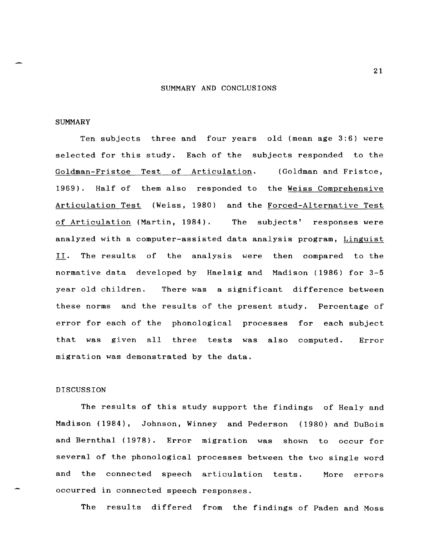#### SUMMARY AND CONCLUSIONS

### SUMMARY

Ten subjects three and four years old (mean age 3:6) were selected for this study. Each of the subjects responded to the Goldman-Fristoe Test of Articulation. (Goldman and Fristoe, 1969). Half of them also responded to the Weiss Comprehensive Articulation Test (Weiss, 1980) and the Forced-Alternative Test of Articulation (Martin, 1984). The subjects' responses were analyzed with a computer-assisted data analysis program, Linguist II. The results of the analysis were then compared to the normative data developed by Haelsig and Madison (1986) for 3-5 year old children. There was a significant difference between these norms and the results of the present study. Percentage of error for each of the phonological processes for each subject that was given all three tests was also computed. migration was demonstrated by the data. Error

# DISCUSSION

The results of this study support the findings of Healy and Madison (1984), Johnson, Winney and Pederson (1980) and DuBois and Bernthal (1978). Error migration was shown to occur for several of the phonological processes between the two single word and the connected speech articulation tests. occurred in connected speech responses. More errors

The results differed from the findings of Paden and Moss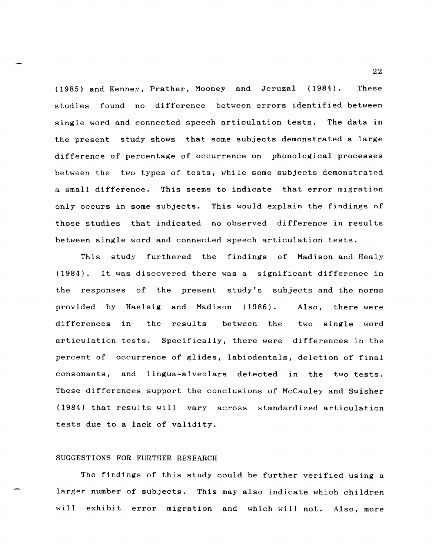(1985) and Kenney, Prather, Mooney and Jeruzal (1984). These studies found no difference between errors identified between single word and connected speech articulation tests. The data in the present study shows that some subjects demonstrated a large difference of percentage of occurrence on phonological processes between the two types of tests, while some subjects demonstrated a small difference. This seems to indicate that error migration only occurs in some subjects. This would explain the findings of those studies that indicated no observed difference in results between single word and connected speech articulation tests.

This study furthered the findings of Madison and Healy (1984) . It was discovered there was a significant difference in the responses of the present study's subjects and the norms provided by Haelsig and Madison (1986). Also, there were differences in the results between the two single word articulation tests. Specifically, there were differences in the percent of occurrence of glides, labiodentals, deletion of final consonants, and lingua-alveolars detected in the two tests. These differences support the conclusions of McCauley and Swisher (1984) that results will vary across standardized articulation tests due to a lack of validity.

### SUGGESTIONS FOR FURTHER RESEARCH

The findings of this study could be further verified using a larger number of subjects. This may also indicate which children will exhibit error migration and which will not. Also, more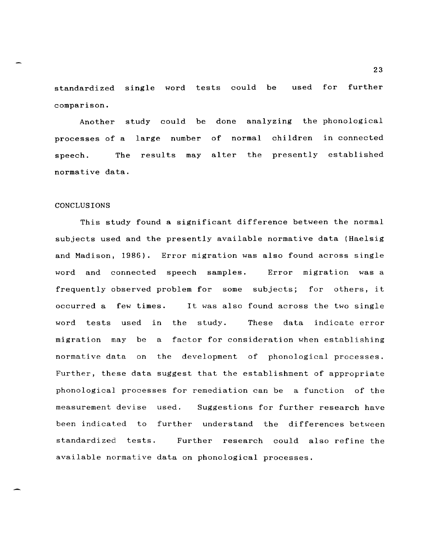standardized single word tests could be comparison. used for further

Another study could be done analyzing the phonological processes of a large number of normal children in connected speech. The results may alter the presently established normative data.

#### CONCLUSIONS

This study found a significant difference between the normal subjects used and the presently available normative data (Haelsig and Madison, 1986). Error migration was also found across single word and connected speech samples. Error migration was a frequently observed problem for some subjects; for others, it occurred a few times. It was also found across the two single word tests used in the study. These data indicate error migration may be a factor for consideration when establishing normative data on the development of phonological processes. Further, these data suggest that the establishment of appropriate phonological processes for remediation can be a function of the measurement devise used. Suggestions for further research have been indicated to further understand the differences between standardized tests. Further research could also refine the available normative data on phonological processes.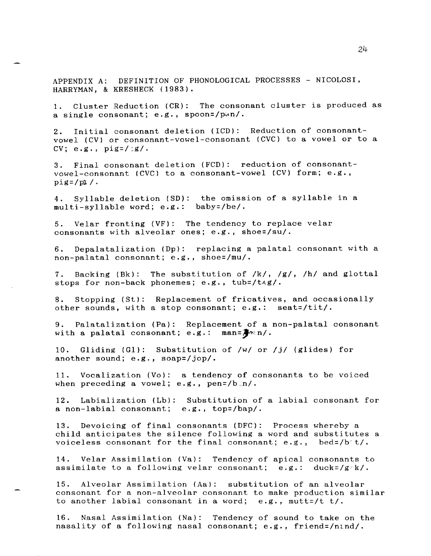APPENDIX A: DEFINITION OF PHONOLOGICAL PROCESSES - NICOLOSI, HARRYMAN, & KRESHECK (1983).

1. Cluster Reduction (CR): The consonant cluster is produced as a single consonant; e.g., spoon=/p $un/$ .

2. Initial consonant deletion (ICD): Reduction of consonantvowel (CV) or consonant-vowel-consonant (CVC) to a vowel or to a  $CV; e.g., pig=}/g/$ .

3. Final consonant deletion (FCD): reduction of consonantvowel-consonant (CVC) to a consonant-vowel (CV) form; e.g.,  $pig = /pI /$ .

4. Syllable deletion (SD): the omission of a syllable in a multi-syllable word; e.g.: baby=/be/.

5. Velar fronting (VF): The tendency to replace velar consonants with alveolar ones; e.g., shoe=/su/.

6. Depalatalization (Dp): replacing a palatal consonant with a non-palatal consonant; e.g., shoe=/mu/.

7. Backing (Bk): The substitution of /k/, /g/, /h/ and glottal stops for non-back phonemes; e.g., tub=/t^g/.

8. Stopping (St): Replacement of fricatives, and occasionally other sounds, with a stop consonant; e.g.: seat=/tit/.

9. Palatalization (Pa): Replacement of a non-palatal consonant with a palatal consonant; e.g.:  $\text{man} = \frac{1}{2} \times n/$ .

10. Gliding (GI): Substitution of /w/ or /j/ (glides) for another sound; e.g., soap=/jop/.

11. Vocalization (Vo): a tendency of consonants to be voiced when preceding a vowel; e.g.,  $penz/b/n/$ .

12. Labialization (Lb): Substitution of a labial consonant for a non-labial consonant; e.g., top=/bap/.

13. Devoicing of final consonants (DFC): Process whereby a child anticipates the silence following a word and substitutes a voiceless consonant for the final consonant; e.g., bed=/b t/.

14. Velar Assimilation (Va): Tendency of apical consonants to assimilate to a following velar consonant; e.g.: duck=/g/k/. assimilate to a following velar consonant; e.g.:

15. Alveolar Assimilation (Aa): substitution of an alveolar consonant for a non-alveolar consonant to make production similar to another labial consonant in a word; e.g., mutt=/t t/.

16. Nasal Assimilation (Na): Tendency of sound to take on the nasality of a following nasal consonant; e.g., friend=/ntnd/.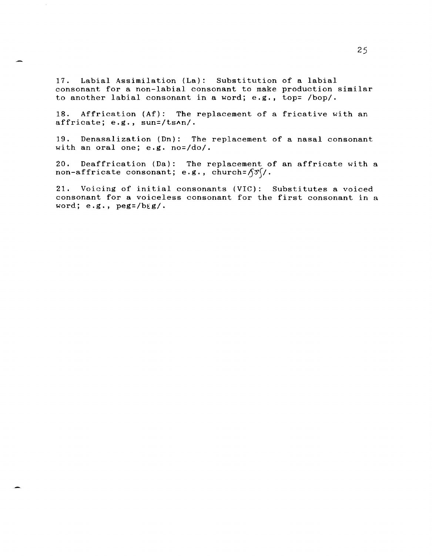17. Labial Assimilation (La): Substitution of a labial consonant for a non-labial consonant to make production similar to another labial consonant in a word; e.g., top= /bop/.

18. Affrication (Af): The replacement of a fricative with an affricate; e.g., sun=/tsAn/.

19. Denasalization (Dn): The replacement of a nasal consonant with an oral one; e.g. no=/do/.

20. Deaffrication (Da): The replacement of an affricate with a non-affricate consonant; e.g., church=  $\sqrt{3}$ /.

21. Voicing of initial consonants (VIC): Substitutes a voiced consonant for a voiceless consonant for the first consonant in a word; e.g., peg=/bEg/.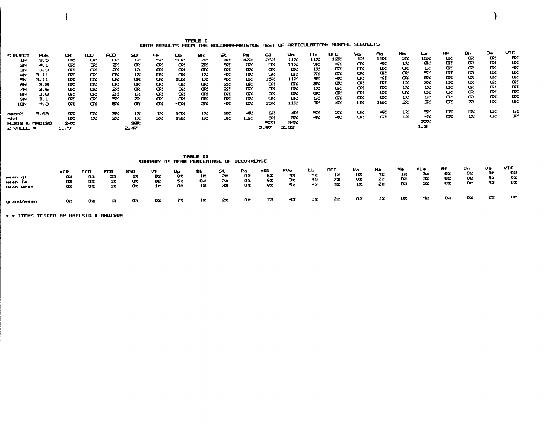# TFBLE I<br>CATH RESULTS FROM THE GOLDNAN-FRISTOE TEST OF ARTICULATION: NORNAL SUBJECTS

)

|                           |        |      |     |     | SD.   | Æ   |                 |     | St  | Pa  | 61   | vo.  | ட              | mc   | va. | Rю.  | Na  | صا  | <b>RF</b> | Dn. | Da. | VIC |
|---------------------------|--------|------|-----|-----|-------|-----|-----------------|-----|-----|-----|------|------|----------------|------|-----|------|-----|-----|-----------|-----|-----|-----|
| <b>SUBJECT</b>            | RŦ     | œ    | ICD | FOD |       |     | œ               | e.  |     |     |      |      |                | 122. | 12. | 137. | z.  | 154 | œ.        | œ.  | α.  | œ.  |
| 1N                        | 3.5    | œ    | œ   | 87. | 12    | 52  | 502             | 24  | 44  | 422 | 262  | 11%  | 11%            |      |     |      |     |     |           |     | œ.  | œ   |
| 2N                        | $-4.1$ | œ.   | 34  | z   | œ.    | œ   | œ.              | z   | 92  | œ   | œ.   | 112  | 92             | 4.   | œ.  | 42   | 12  | æ.  | α.        | œ.  |     |     |
| ЭΝ                        | 3.9    | œ.   | œ.  | z   | 12    | œ.  | œ.              | œ   | œ   | œ.  | œ    | œ.   | 12             | œ    | α.  | œ.   | œ   | 12  | œ         | α.  | œ.  | 42  |
|                           |        |      |     |     |       | œ.  | œ               |     | æ.  | œ   | 54   | œ.   | $\mathbb{Z}^2$ | œ.   | œ.  | Œ.   | œ.  | 54  | œ.        | Œ.  | œ   | œ   |
| -41                       | 3. 11  | œ.   | œ   | Œ.  | 12    |     |                 | 1%  |     |     |      |      |                | 42   | œ.  | 41   | œ   | 84  | œ.        | œ   | œ.  | Œ., |
| эч                        | 3. 11  | œ.   | œ.  | œ   | œ.    | œ.  | 102             | 12  | -2  | œ.  | 154  | 11%  | 94             |      |     |      |     |     |           |     | œ.  | œ.  |
| 6N                        | 3.8    | œ.   | œ.  | œ.  | Œ.    | Œ.  | œ.              | Œ.  | z   | œ   | œ.   | œ.   | 34             | œ    | œ.  | œ    | 12  | 34  | Œ.        | œ.  |     |     |
| 7N                        | 3.6    | Œ.   | Œ.  | z   | Œ.    | œ   | œ.              | œ   | 22  | œ   | œ.   | œ.   | 12             | œ    | œ   | œ.   | 12  | 12  | Œ.        | œ.  | œ   | œ   |
|                           |        |      |     |     |       |     |                 | œ   | œ.  | œ.  | œ    | œ    | œ.             | œ.   | Œ.  | œ.   | œ   | œ.  | Œ.        | œ.  | Œ.  | œ   |
| 8N                        | 3.8    | œ.   | œ.  | 21  | 12    | œ   | œ.              |     |     |     |      |      |                |      | œ   | α.   | 12  | 12  | œ.        | α.  | œ.  | œ   |
| <b>SN</b>                 | 3.1    | œ.   | œ   | 54  | z     | œ.  | œ               | œ   | œ.  | œ   | Œ.   | œ    | -12            | œ.   |     |      |     |     |           |     | œ   | Œ.  |
| 10N                       | 4.3    | œ    | œ.  | 54  | œ     | œ   | æ               | 22  | -42 | œ   | 152  | 112  | 34             | æ.   | œ.  | 18%  | z.  | 34  | Œ.        | 24  |     |     |
|                           |        |      |     |     |       |     |                 |     |     |     |      |      |                | 24   | œ.  | 44   | 12. | s.  | œ         | α.  | œ.  | 12  |
| നാണ്                      | 9.63   | œ.   | Œ.  | зv. | 12.   | 12. | 10 <sub>1</sub> | 1%  | æ   | يہ  | 64   | æ.   | s.             |      |     |      |     |     |           | 12. | œ.  | 34  |
| std                       |        | œ    | 12. | z   | 12    | z   | 182             | 12. | 34  | 13% | 92   | s.   | -42            | 42   | œ.  | 62   | 12. | 44  | Œ.        |     |     |     |
| <b>H_SIG &amp; MADISO</b> |        | يهد  |     |     | 384   |     |                 |     |     |     | 524  | 3 P. |                |      |     |      |     | 22. |           |     |     |     |
|                           |        |      |     |     |       |     |                 |     |     |     | 2.97 | 2.02 |                |      |     |      |     | 1.3 |           |     |     |     |
| $2-$ VALLE =              |        | 1.79 |     |     | 2. 47 |     |                 |     |     |     |      |      |                |      |     |      |     |     |           |     |     |     |

|                                 |                         |                                    |                       |                       | SUMMARY OF MEAN PERCENTAGE OF OCCURRENCE |                      | <b>TABLE II</b>      |                       |                      |                       |                       |                       |                       |                       |                       |                       |                       |                      |                       |                      |                        |
|---------------------------------|-------------------------|------------------------------------|-----------------------|-----------------------|------------------------------------------|----------------------|----------------------|-----------------------|----------------------|-----------------------|-----------------------|-----------------------|-----------------------|-----------------------|-----------------------|-----------------------|-----------------------|----------------------|-----------------------|----------------------|------------------------|
| mean qf<br>nean fa<br>nean ucat | XCR<br>02<br>OZ.<br>OZ. | ICD<br>02<br>02<br>$0\overline{x}$ | FCD<br>22<br>12<br>12 | xso<br>12<br>02<br>02 | VF<br>02<br>02<br>12                     | Dр<br>82<br>52<br>82 | Bk<br>12<br>02<br>12 | -St<br>22<br>22<br>32 | Pa<br>02<br>02<br>0x | *Gl<br>62<br>62<br>82 | XVo<br>12<br>32<br>52 | LЬ<br>-12<br>32<br>4z | DFC<br>12<br>22<br>32 | Va<br>OZ.<br>0z<br>12 | Aa<br>-12<br>2%<br>22 | No<br>12<br>02<br>OZ. | XLa<br>32<br>32<br>52 | Af<br>02<br>02<br>02 | Dn.<br>02<br>0z<br>0z | Do<br>02<br>32<br>32 | VI C<br>02<br>02<br>02 |
| grand/ <del>nean</del>          | OZ.                     | 02                                 | 12                    | Oz.                   | OZ.                                      | 72                   | 12                   | 22                    | 0z                   | 72                    | 42                    | 32                    | 27                    | 02                    | 32.                   | 02                    | 42                    | 02                   | 02.                   | 22                   | 02                     |

 $*$  = ITEHS TESTED BY HAELSIG & HADISON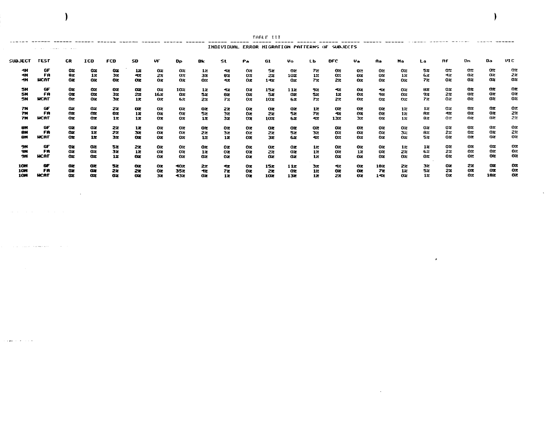|                                                                                                                                                                    |             |             |                |                |                 |             |                |                 |                 |          | TABLE III       |           |                |                 |             |                |                |     |                |                |               |                 |
|--------------------------------------------------------------------------------------------------------------------------------------------------------------------|-------------|-------------|----------------|----------------|-----------------|-------------|----------------|-----------------|-----------------|----------|-----------------|-----------|----------------|-----------------|-------------|----------------|----------------|-----|----------------|----------------|---------------|-----------------|
| INDIVIDUAL ERROR HIGRATION PATTERNS OF SUBJECTS<br>the company's company's company's company's and the company's company's company's company's company's company's |             |             |                |                |                 |             |                |                 |                 |          |                 |           |                |                 |             |                |                |     |                |                |               |                 |
| SUBJECT                                                                                                                                                            | TEST        | CR.         | ICD            | <b>FCD</b>     | SD              | VF          | 0p.            | Bk.             | -St             | Pa.      | GI              | Vo        | LЬ             | <b>DFC</b>      | りゅ          | . Aa           | Na             | La  | Af.            | Dn.            | Da            | VI C            |
|                                                                                                                                                                    | бF          | 02          | oz             | OZ.            | 12              | 02.         | 02             | 12.             | -42             | 92       | Sz.             | -02       | 72             | <b>O2</b>       | -02         | 02             | Oz.            | 52  | 0.2            | OZ.            | 0z            | OZ.             |
| ٩N                                                                                                                                                                 | FA          | 8z          | 12             | 32             | 42              | 22          | 02             | 32              | 82              | OZ.      | 2%              | 102       | 12             | 0.2             | 0z          | 02             | 12             | 62  | 42             | 02             | 0z            | 22              |
| -11                                                                                                                                                                | <b>HCAT</b> | 0x          | O <sub>2</sub> | 0 <sup>x</sup> | $0\mathbf{z}$   | 02          | $0\%$          | 02              | -12             | 0z       | $1 - 12$        | <b>OZ</b> | 72             | 22              | 0z          | 02             | O2.            | 72  | 0 <sub>z</sub> | 02             | $0\%$         | 02              |
| <b>5H</b>                                                                                                                                                          | <b>GF</b>   | 0z          | œ              | OZ.            | œ               | oz          | 102            | $1\overline{z}$ | 47              | 02       | 152             | 112       | 9%             | -12             | Oz.         | $\mathbf{1}$   | OZ.            | 82  | oz             | O2             | $_{\alpha}$   | 02              |
| 5H                                                                                                                                                                 | FA          | $_{\rm oz}$ | 0 <sub>x</sub> | 32             | 22              | 162         | 02.            | 5z              | 82              | 0z       | 5z              | 0z        | 52             | 12              | OZ.         | 92             | 0z             | 9%  | 22             | 02             | OZ.           | 0z              |
| <b>5N</b>                                                                                                                                                          | <b>UCRT</b> | œ           | 0x             | 32             | $1\overline{z}$ | 62          | 62.            | 22.             | 72              | 02.      | 102             | 62.       | 72             | 2%              | 02          | 02.            | O2.            | 72. | 0 <sub>z</sub> | 02             | 02            | 02              |
| 7N                                                                                                                                                                 | GF          | œ           | 02             | 22             | OZ.             | az.         | 02             | Oz.             | 22              | oz       | OX.             | 02        | 12             | oz              | 62          | 0z             | 12             | 12  | Oz.            | 02             | oz            | 0z              |
| 7N                                                                                                                                                                 | FA          | ΩZ          | œ              | 0z             | $1\overline{z}$ | oz          | 02             | 52              | 32              | 0z       | 22              | 52.       | 72             | -12             | 02          | 0z             | 12             | 82  | -42            | Oz             | OZ.           | 2%              |
| 7N                                                                                                                                                                 | <b>HCRT</b> | 02          | 0x             | 12             | $1\overline{z}$ | Oz.         | O <sub>2</sub> | 1z              | 3z              | $\alpha$ | 10 <sub>z</sub> | 62        | 42             | 132             | 32          | 02.            | 12             | 82  | 02             | $0\%$          | 02            | 22              |
| <b>8N</b>                                                                                                                                                          | GF          | 02          | 02             | 22             | 12              | oz          | O2.            | O <sub>z</sub>  | OZ.             | oz       | oz              | OZ.       | 02             | oz              | OZ.         | 02             | 02             | 0%  | 02             | OZ.            | 02            | 0z              |
| 6 <sub>H</sub>                                                                                                                                                     | FA          | 0x          | 12             | 22             | 32              | $_{\alpha}$ | OZ.            | 22              | 32              | 0z       | 27              | 52        | 32             | 02              | 0z          | 0 <sup>z</sup> | 32             | 82  | 22             | 0z             | $0\mathbf{z}$ | 22              |
| <b>BN</b>                                                                                                                                                          | HCAT        | <b>OX</b>   | $12^{\circ}$   | 32             | O2.             | OZ.         | OX.            | 12              | 12 <sup>2</sup> | 0z       | 3z              | 6.2       | 42             | 02              | 82          | Oz.            | 0 <sub>z</sub> | 52. | 02             | 0z             | 0z            | 0               |
| 9N                                                                                                                                                                 | бF          | oz          | 02             | 52             | 22              | Oz          | 02             | Oz.             | oz              | OZ.      | OZ.             | 0z        | 12             | O2              | 02          | 02             | 12             | 12  | 02             | 02.            | OZ.           | 02              |
| 9N                                                                                                                                                                 | FA          | 0x          | 02             | 3x             | 12              | $0\%$       | OZ.            | $1\overline{z}$ | 0z              | Oz       | 2%              | 0z        | 12             | $0\%$           | 12          | $0\%$          | 22             | 62  | 22             | 02             | 02            | 02              |
| <b>9N</b>                                                                                                                                                          | <b>HCAT</b> | œ           | 0z             | 12             | OZ.             | Oz.         | OЖ             | 0z              | 02              | O2.      | 0z              | QZ.       | 1 <sub>z</sub> | $0\overline{z}$ | $_{\alpha}$ | 02             | 02             | 02  | 02             | 02             | O2            | $0\overline{z}$ |
| <b>10N</b>                                                                                                                                                         | æ           | œ           | OZ.            | 52             | œ               | OX.         | 402            | 22              | 12              | Oz.      | 15z             | 11z       | 37             | -12             | 02          | 192            | 22             | 32  | 02             | 22             | oz            | 02              |
| <b>10N</b>                                                                                                                                                         | FA          | 02          | $0\%$          | 22             | 22              | oz          | 35%            | 12              | 72              | oz       | 22              | OZ.       | 12             | 02              | O2.         | 72             | 12             | 52  | 2%             | 0 <sup>z</sup> | 0z            | 0z              |
|                                                                                                                                                                    | <b>HCAT</b> | œ           | $\alpha$       | 02             | œ               | 32          | 432            | 0z              | $1\overline{z}$ | n.       | <b>102</b>      | 13z       | 12             | 22              | 0z          | $1 - 22$       | 02             | 12  | Oz.            | 02             | 182           | 02              |

 $\sim 100$  km s  $^{-1}$ 

 $\label{eq:2.1} \mathcal{F}(\mathcal{F}) = \mathcal{F}(\mathcal{F}) \mathcal{F}(\mathcal{F}) = \mathcal{F}(\mathcal{F}) \mathcal{F}(\mathcal{F})$ 

 $\mathcal{L}(\mathcal{L}(\mathcal{L}(\mathcal{L}(\mathcal{L}(\mathcal{L}(\mathcal{L}(\mathcal{L}(\mathcal{L}(\mathcal{L}(\mathcal{L}(\mathcal{L}(\mathcal{L}(\mathcal{L}(\mathcal{L}(\mathcal{L}(\mathcal{L}(\mathcal{L}(\mathcal{L}(\mathcal{L}(\mathcal{L}(\mathcal{L}(\mathcal{L}(\mathcal{L}(\mathcal{L}(\mathcal{L}(\mathcal{L}(\mathcal{L}(\mathcal{L}(\mathcal{L}(\mathcal{L}(\mathcal{L}(\mathcal{L}(\mathcal{L}(\mathcal{L}(\mathcal{L}(\mathcal{$ 

)

 $\mathcal{L}(\mathcal{L})$  and  $\mathcal{L}(\mathcal{L})$  and  $\mathcal{L}(\mathcal{L})$  and  $\mathcal{L}(\mathcal{L})$  and  $\mathcal{L}(\mathcal{L})$ 

 $\mathcal{L}^{\mathcal{A}}(\mathbf{z})$  . The contribution of the contribution of the contribution of the contribution of the contribution of the contribution of the contribution of the contribution of the contribution of the contribution

والمتحدث والمهد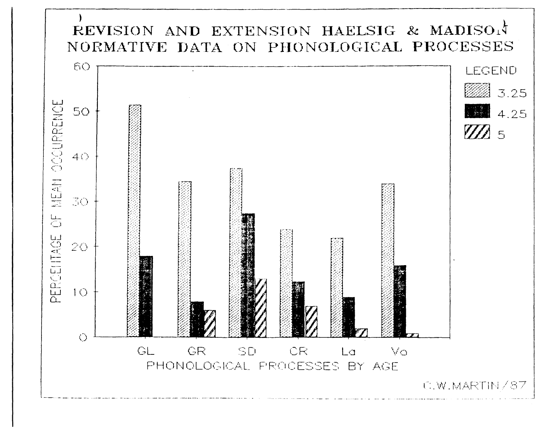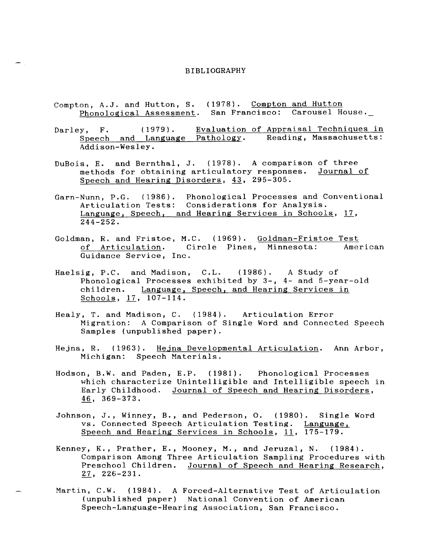#### BIBLIOGRAPHY

- Compton, A.J. and Hutton, S. (1978). Compton and Hutton Phonological Assessment. San Francisco: Carousel House.
- Darley, F. (1979). Evaluation of Appraisal Techniques in<br>Speech and Language Pathology. Reading, Massachusetts:  $\frac{1}{\sqrt{2}}$   $\frac{1}{\sqrt{2}}$   $\frac{1}{\sqrt{2}}$   $\frac{1}{\sqrt{2}}$   $\frac{1}{\sqrt{2}}$   $\frac{1}{\sqrt{2}}$   $\frac{1}{\sqrt{2}}$   $\frac{1}{\sqrt{2}}$   $\frac{1}{\sqrt{2}}$   $\frac{1}{\sqrt{2}}$   $\frac{1}{\sqrt{2}}$   $\frac{1}{\sqrt{2}}$   $\frac{1}{\sqrt{2}}$   $\frac{1}{\sqrt{2}}$   $\frac{1}{\sqrt{2}}$   $\frac{1}{\sqrt{2}}$   $\frac{1}{\sqrt{2}}$  Addison-Wesley.
- DuBois, E. and Bernthal, J. (1978). A comparison of three methods for obtaining articulatory responses. Journal of Speech and Hearing Disorders, 43, 295-305.
- Garn-Nunn, P.G. (1986). Phonological Processes and Conventional Articulation Tests: Considerations for Analysis. Language, Speech, and Hearing Services in Schools, 17,  $244 - 252.$
- Goldman, R. and Fristoe, M.C. (1969). Goldman-Fristoe Test of Articulation. Circle Pines, Minnesota: American Guidance Service, Inc.
- Haelsig, P.C. and Madison, C.L. (1986). A Study of Phonological Processes exhibited by 3-, 4- and 5-year-old children. Language, Speech, and Hearing Services in Schools, 17, 107-114.
- Healy, T. and Madison, C. (1984). Articulation Error Migration: A Comparison of Single Word and Connected Speech Samples (unpublished paper).
- Hejna, R. (1963). Hejna Developmental Articulation. Ann Arbor, Michigan: Speech Materials.
- Hodson, B.W. and Paden, E.P. (1981). Phonological Processes which characterize Unintelligible and Intelligible speech in Early Childhood. Journal of Speech and Hearing Disorders, 46, 369-373.
- Johnson, J., Winney, B., and Pederson, O. (1980). Single Word vs. Connected Speech Articulation Testing. Language, Speech and Hearing Services in Schools, 11, 175-179.
- Kenney, K., Prather, E., Mooney, M., and Jeruzal, N. (1984). Comparison Among Three Articulation Sampling Procedures with Preschool Children. Journal of Speech and Hearing Research, ~, 226-231.
- Martin, C.W. (1984). A Forced-Alternative Test of Articulation (unpublished paper) National Convention of American Speech-Language-Hearing Association, San Francisco.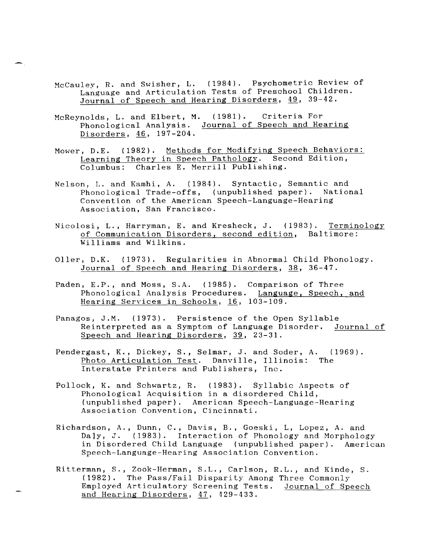- McCauley, R. and Swisher, L. (1984). Psychometric Review of Language and Articulation Tests of Preschool Children. Journal of Speech and Hearing Disorders, 49, 39-42.
- McReynolds, L. and Elbert, M. (1981). Criteria For Phonological Analysis. Journal of Speech and Hearing Disorders,  $46, 197-204.$
- Mower, D.E. (1982). Methods for Modifying Speech Behaviors: Learning Theory in Speech Pathology. Second Edition, Columbus: Charles E. Merrill Publishing.
- Nelson, L. and Kamhi, A. (1984). Syntactic, Semantic and Phonological Trade-offs, (unpublished paper). National Convention of the American Speech-Language-Hearing Association, San Francisco.
- Nicolosi, L., Harryman, E. and Kresheck, J. (1983). Terminology of Communication Disorders, second edition, Baltimore: Williams and Wilkins.
- Oller, D.K. (1973). Regularities in Abnormal Child Phonology. Journal of Speech and Hearing Disorders, 38, 36-47.
- Paden, E.P., and Moss, S.A. (1985). Comparison of Three Phonological Analysis Procedures. Language, Speech, and Hearing Services in Schools, 16, 103-109.
- Panagos, J.M. (1973). Persistence of the Open Syllable Reinterpreted as a Symptom of Language Disorder. Journal of Speech and Hearing Disorders, 39, 23-31.
- Pendergast, K., Dickey, S., Selmar, J. and Soder, A. (1969). Photo Articulation Test. Danville, Illinois: The Interstate Printers and Publishers, Inc.
- Pollock, K. and Schwartz, R. (1983). Syllabic Aspects of Phonological Acquisition in a disordered Child, (unpublished paper). American Speech-Language-Hearing Association Convention, Cincinnati.
- Richardson, A., Dunn, C., Davis, B., Goeski, L, Lopez, A. and Da]y, J. (1983). Interaction of Phonology and Morphology in Disordered Child Language (unpublished paper). American Speech-Language-Hearing Association Convention.
- Ritterman, S., Zook-Herman, S.L., Carlson, R.L., and Kinde, S. (1982). The Pass/Fail Disparity Among Three Commonly Employed Articulatory Screening Tests. Journal of Speech and Hearing Disorders, 47, 429-433.